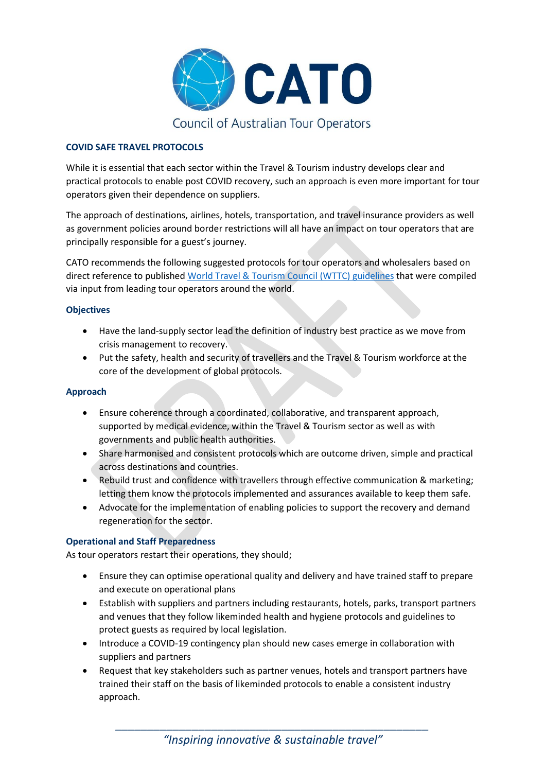

# **COVID SAFE TRAVEL PROTOCOLS**

While it is essential that each sector within the Travel & Tourism industry develops clear and practical protocols to enable post COVID recovery, such an approach is even more important for tour operators given their dependence on suppliers.

The approach of destinations, airlines, hotels, transportation, and travel insurance providers as well as government policies around border restrictions will all have an impact on tour operators that are principally responsible for a guest's journey.

CATO recommends the following suggested protocols for tour operators and wholesalers based on direct reference to published [World Travel & Tourism Council \(WTTC\)](https://wttc.org/COVID-19/Safe-Travels-Global-Protocols-Stamp) guidelines that were compiled via input from leading tour operators around the world.

#### **Objectives**

- Have the land-supply sector lead the definition of industry best practice as we move from crisis management to recovery.
- Put the safety, health and security of travellers and the Travel & Tourism workforce at the core of the development of global protocols.

#### **Approach**

- Ensure coherence through a coordinated, collaborative, and transparent approach, supported by medical evidence, within the Travel & Tourism sector as well as with governments and public health authorities.
- Share harmonised and consistent protocols which are outcome driven, simple and practical across destinations and countries.
- Rebuild trust and confidence with travellers through effective communication & marketing; letting them know the protocols implemented and assurances available to keep them safe.
- Advocate for the implementation of enabling policies to support the recovery and demand regeneration for the sector.

# **Operational and Staff Preparedness**

As tour operators restart their operations, they should;

- Ensure they can optimise operational quality and delivery and have trained staff to prepare and execute on operational plans
- Establish with suppliers and partners including restaurants, hotels, parks, transport partners and venues that they follow likeminded health and hygiene protocols and guidelines to protect guests as required by local legislation.
- Introduce a COVID-19 contingency plan should new cases emerge in collaboration with suppliers and partners
- Request that key stakeholders such as partner venues, hotels and transport partners have trained their staff on the basis of likeminded protocols to enable a consistent industry approach.

*\_\_\_\_\_\_\_\_\_\_\_\_\_\_\_\_\_\_\_\_\_\_\_\_\_\_\_\_\_\_\_\_\_\_\_\_\_\_\_\_\_\_\_\_\_\_\_\_\_ "Inspiring innovative & sustainable travel"*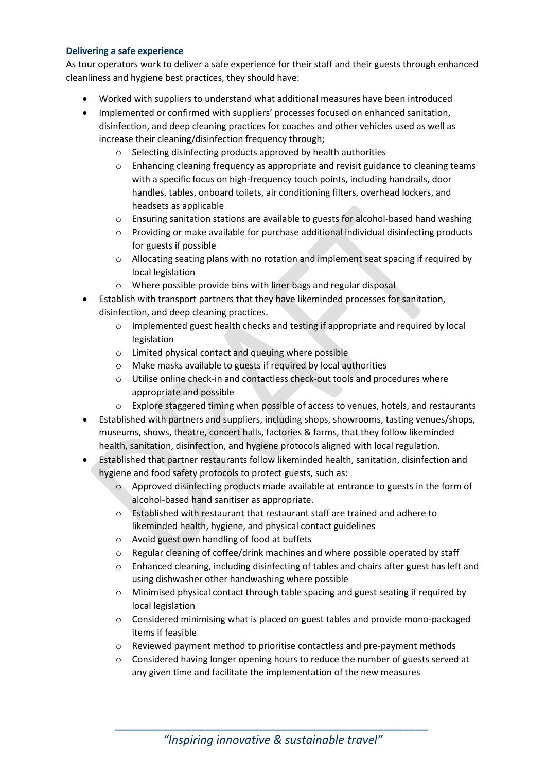#### **Delivering a safe experience**

As tour operators work to deliver a safe experience for their staff and their guests through enhanced cleanliness and hygiene best practices, they should have:

- Worked with suppliers to understand what additional measures have been introduced
- Implemented or confirmed with suppliers' processes focused on enhanced sanitation, disinfection, and deep cleaning practices for coaches and other vehicles used as well as increase their cleaning/disinfection frequency through;
	- o Selecting disinfecting products approved by health authorities
	- $\circ$  Enhancing cleaning frequency as appropriate and revisit guidance to cleaning teams with a specific focus on high-frequency touch points, including handrails, door handles, tables, onboard toilets, air conditioning filters, overhead lockers, and headsets as applicable
	- $\circ$  Ensuring sanitation stations are available to guests for alcohol-based hand washing
	- o Providing or make available for purchase additional individual disinfecting products for guests if possible
	- $\circ$  Allocating seating plans with no rotation and implement seat spacing if required by local legislation
	- o Where possible provide bins with liner bags and regular disposal
- Establish with transport partners that they have likeminded processes for sanitation, disinfection, and deep cleaning practices.
	- o Implemented guest health checks and testing if appropriate and required by local legislation
	- o Limited physical contact and queuing where possible
	- o Make masks available to guests if required by local authorities
	- o Utilise online check-in and contactless check-out tools and procedures where appropriate and possible
	- o Explore staggered timing when possible of access to venues, hotels, and restaurants
- Established with partners and suppliers, including shops, showrooms, tasting venues/shops, museums, shows, theatre, concert halls, factories & farms, that they follow likeminded health, sanitation, disinfection, and hygiene protocols aligned with local regulation.
- Established that partner restaurants follow likeminded health, sanitation, disinfection and hygiene and food safety protocols to protect guests, such as:
	- $\circ$  Approved disinfecting products made available at entrance to guests in the form of alcohol-based hand sanitiser as appropriate.
	- o Established with restaurant that restaurant staff are trained and adhere to likeminded health, hygiene, and physical contact guidelines
	- o Avoid guest own handling of food at buffets
	- o Regular cleaning of coffee/drink machines and where possible operated by staff
	- o Enhanced cleaning, including disinfecting of tables and chairs after guest has left and using dishwasher other handwashing where possible
	- o Minimised physical contact through table spacing and guest seating if required by local legislation
	- o Considered minimising what is placed on guest tables and provide mono-packaged items if feasible
	- o Reviewed payment method to prioritise contactless and pre-payment methods
	- o Considered having longer opening hours to reduce the number of guests served at any given time and facilitate the implementation of the new measures